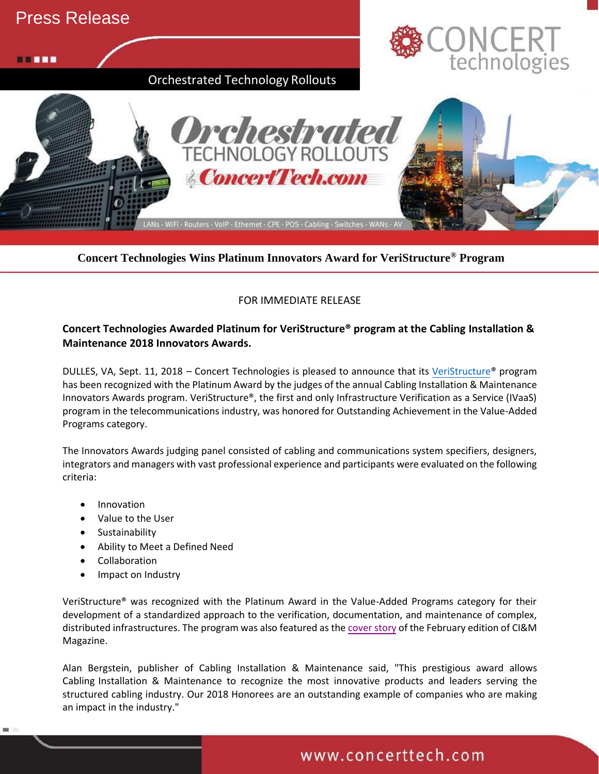

**Concert Technologies Wins Platinum Innovators Award for VeriStructure® Program**

### FOR IMMEDIATE RELEASE

## **Concert Technologies Awarded Platinum for VeriStructure® program at the Cabling Installation & Maintenance 2018 Innovators Awards.**

DULLES, VA, Sept. 11, 2018 – Concert Technologies is pleased to announce that its [VeriStructure®](http://www.veristructure.io/) program has been recognized with the Platinum Award by the judges of the annual Cabling Installation & Maintenance Innovators Awards program. VeriStructure®, the first and only Infrastructure Verification as a Service (IVaaS) program in the telecommunications industry, was honored for Outstanding Achievement in the Value-Added Programs category.

The Innovators Awards judging panel consisted of cabling and communications system specifiers, designers, integrators and managers with vast professional experience and participants were evaluated on the following criteria:

- Innovation
- Value to the User
- **Sustainability**
- Ability to Meet a Defined Need
- **Collaboration**
- Impact on Industry

VeriStructure® was recognized with the Platinum Award in the Value-Added Programs category for their development of a standardized approach to the verification, documentation, and maintenance of complex, distributed infrastructures. The program was also featured as the [cover story](http://digital.cablinginstall.com/cablinginstall/201802/MobilePagedReplica.action?pm=2&folio=4#pg6) of the February edition of CI&M Magazine.

Alan Bergstein, publisher of Cabling Installation & Maintenance said, "This prestigious award allows Cabling Installation & Maintenance to recognize the most innovative products and leaders serving the structured cabling industry. Our 2018 Honorees are an outstanding example of companies who are making an impact in the industry."

# www.concerttech.com